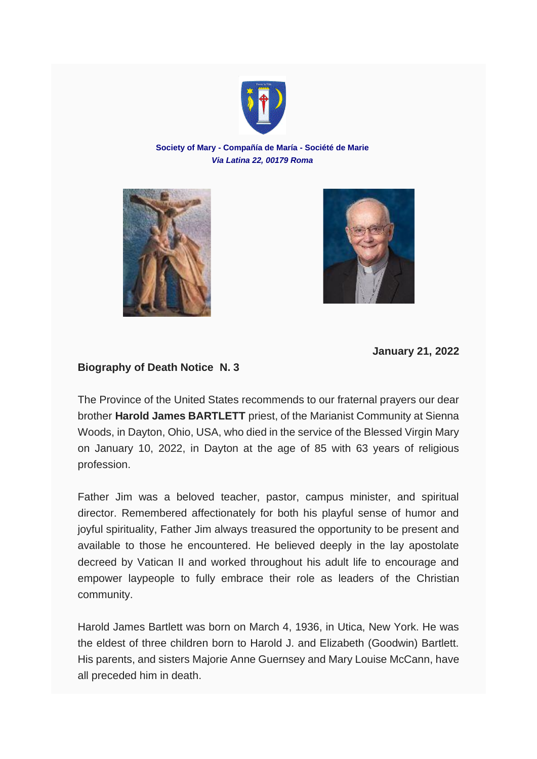

## **Society of Mary - Compañía de María - Société de Marie** *Via Latina 22, 00179 Roma*





**January 21, 2022**

## **Biography of Death Notice N. 3**

The Province of the United States recommends to our fraternal prayers our dear brother **Harold James BARTLETT** priest, of the Marianist Community at Sienna Woods, in Dayton, Ohio, USA, who died in the service of the Blessed Virgin Mary on January 10, 2022, in Dayton at the age of 85 with 63 years of religious profession.

Father Jim was a beloved teacher, pastor, campus minister, and spiritual director. Remembered affectionately for both his playful sense of humor and joyful spirituality, Father Jim always treasured the opportunity to be present and available to those he encountered. He believed deeply in the lay apostolate decreed by Vatican II and worked throughout his adult life to encourage and empower laypeople to fully embrace their role as leaders of the Christian community.

Harold James Bartlett was born on March 4, 1936, in Utica, New York. He was the eldest of three children born to Harold J. and Elizabeth (Goodwin) Bartlett. His parents, and sisters Majorie Anne Guernsey and Mary Louise McCann, have all preceded him in death.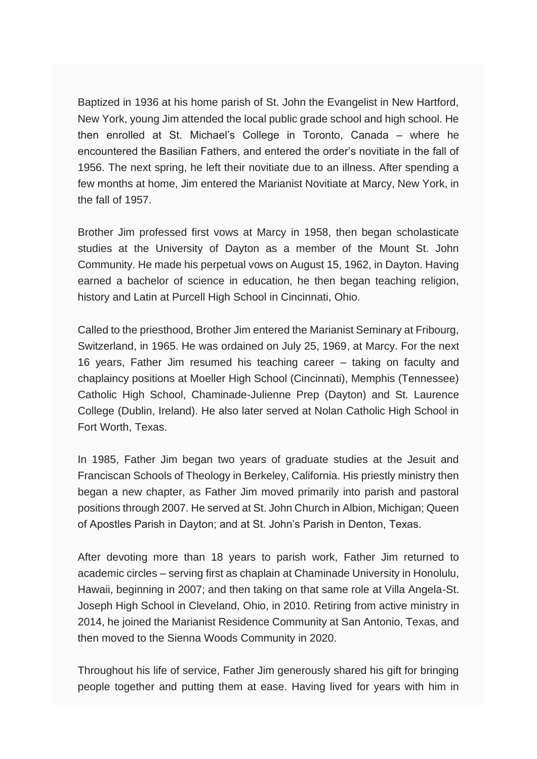Baptized in 1936 at his home parish of St. John the Evangelist in New Hartford, New York, young Jim attended the local public grade school and high school. He then enrolled at St. Michael's College in Toronto, Canada – where he encountered the Basilian Fathers, and entered the order's novitiate in the fall of 1956. The next spring, he left their novitiate due to an illness. After spending a few months at home, Jim entered the Marianist Novitiate at Marcy, New York, in the fall of 1957.

Brother Jim professed first vows at Marcy in 1958, then began scholasticate studies at the University of Dayton as a member of the Mount St. John Community. He made his perpetual vows on August 15, 1962, in Dayton. Having earned a bachelor of science in education, he then began teaching religion, history and Latin at Purcell High School in Cincinnati, Ohio.

Called to the priesthood, Brother Jim entered the Marianist Seminary at Fribourg, Switzerland, in 1965. He was ordained on July 25, 1969, at Marcy. For the next 16 years, Father Jim resumed his teaching career – taking on faculty and chaplaincy positions at Moeller High School (Cincinnati), Memphis (Tennessee) Catholic High School, Chaminade-Julienne Prep (Dayton) and St. Laurence College (Dublin, Ireland). He also later served at Nolan Catholic High School in Fort Worth, Texas.

In 1985, Father Jim began two years of graduate studies at the Jesuit and Franciscan Schools of Theology in Berkeley, California. His priestly ministry then began a new chapter, as Father Jim moved primarily into parish and pastoral positions through 2007. He served at St. John Church in Albion, Michigan; Queen of Apostles Parish in Dayton; and at St. John's Parish in Denton, Texas.

After devoting more than 18 years to parish work, Father Jim returned to academic circles – serving first as chaplain at Chaminade University in Honolulu, Hawaii, beginning in 2007; and then taking on that same role at Villa Angela-St. Joseph High School in Cleveland, Ohio, in 2010. Retiring from active ministry in 2014, he joined the Marianist Residence Community at San Antonio, Texas, and then moved to the Sienna Woods Community in 2020.

Throughout his life of service, Father Jim generously shared his gift for bringing people together and putting them at ease. Having lived for years with him in